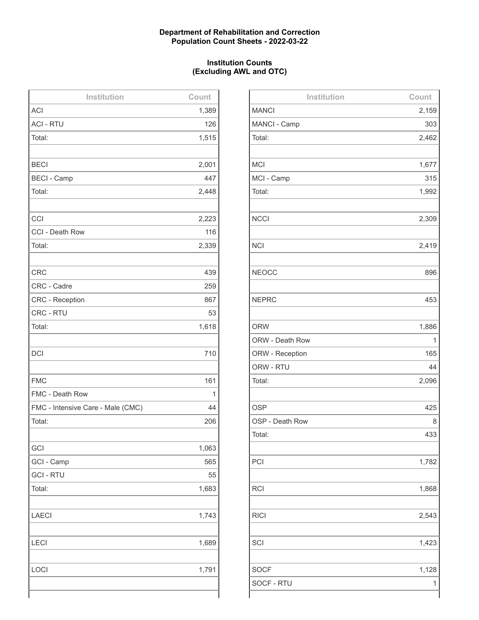### **Department of Rehabilitation and Correction Population Count Sheets - 2022-03-22**

### **Institution Counts (Excluding AWL and OTC)**

| Institution                       | Count |
|-----------------------------------|-------|
| <b>ACI</b>                        | 1,389 |
| <b>ACI - RTU</b>                  | 126   |
| Total:                            | 1,515 |
|                                   |       |
| <b>BECI</b>                       | 2,001 |
| <b>BECI - Camp</b>                | 447   |
| Total:                            | 2,448 |
|                                   |       |
| CCI                               | 2,223 |
| CCI - Death Row                   | 116   |
| Total:                            | 2,339 |
|                                   |       |
| <b>CRC</b>                        | 439   |
| CRC - Cadre                       | 259   |
| <b>CRC - Reception</b>            | 867   |
| CRC - RTU                         | 53    |
| Total:                            | 1,618 |
|                                   |       |
| <b>DCI</b>                        | 710   |
|                                   |       |
| <b>FMC</b>                        | 161   |
| FMC - Death Row                   | 1     |
| FMC - Intensive Care - Male (CMC) | 44    |
| Total:                            | 206   |
|                                   |       |
| GCI                               | 1,063 |
| GCI - Camp                        | 565   |
| <b>GCI - RTU</b>                  | 55    |
| Total:                            | 1,683 |
|                                   |       |
| <b>LAECI</b>                      | 1,743 |
|                                   |       |
| <b>LECI</b>                       | 1,689 |
|                                   |       |
| LOCI                              | 1,791 |
|                                   |       |
|                                   |       |

| Institution     | Count |
|-----------------|-------|
| <b>MANCI</b>    | 2,159 |
| MANCI - Camp    | 303   |
| Total:          | 2,462 |
|                 |       |
| <b>MCI</b>      | 1,677 |
| MCI - Camp      | 315   |
| Total:          | 1,992 |
|                 |       |
| <b>NCCI</b>     | 2,309 |
|                 |       |
| <b>NCI</b>      | 2,419 |
|                 |       |
| <b>NEOCC</b>    | 896   |
|                 |       |
| <b>NEPRC</b>    | 453   |
|                 |       |
| <b>ORW</b>      | 1,886 |
| ORW - Death Row | 1     |
| ORW - Reception | 165   |
| ORW - RTU       | 44    |
| Total:          | 2,096 |
|                 |       |
| <b>OSP</b>      | 425   |
| OSP - Death Row | 8     |
| Total:          | 433   |
|                 |       |
| PCI             | 1,782 |
|                 |       |
| <b>RCI</b>      | 1,868 |
|                 |       |
| <b>RICI</b>     | 2,543 |
|                 |       |
| SCI             | 1,423 |
|                 |       |
| <b>SOCF</b>     | 1,128 |
| SOCF - RTU      | 1     |
|                 |       |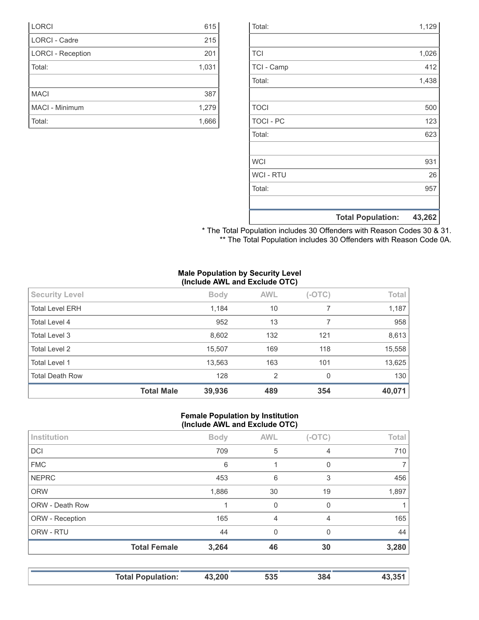|                  | <b>Total Population:</b> | 43,262 |
|------------------|--------------------------|--------|
|                  |                          |        |
| Total:           |                          | 957    |
| <b>WCI - RTU</b> |                          | 26     |
| <b>WCI</b>       |                          | 931    |
|                  |                          |        |
| Total:           |                          | 623    |
| <b>TOCI - PC</b> |                          | 123    |
| <b>TOCI</b>      |                          | 500    |
|                  |                          |        |
| Total:           |                          | 1,438  |
| TCI - Camp       |                          | 412    |
| <b>TCI</b>       |                          | 1,026  |
|                  |                          |        |
| Total:           |                          | 1,129  |

| * The Total Population includes 30 Offenders with Reason Codes 30 & 31. |  |
|-------------------------------------------------------------------------|--|
| ** The Total Population includes 30 Offenders with Reason Code 0A.      |  |

#### **Male Population by Security Level (Include AWL and Exclude OTC)**

| <b>Security Level</b>  |                   | <b>Body</b> | <b>AWL</b> | $(-OTC)$ | Total  |
|------------------------|-------------------|-------------|------------|----------|--------|
| <b>Total Level ERH</b> |                   | 1,184       | 10         |          | 1,187  |
| Total Level 4          |                   | 952         | 13         |          | 958    |
| Total Level 3          |                   | 8,602       | 132        | 121      | 8,613  |
| Total Level 2          |                   | 15,507      | 169        | 118      | 15,558 |
| <b>Total Level 1</b>   |                   | 13,563      | 163        | 101      | 13,625 |
| <b>Total Death Row</b> |                   | 128         | 2          | 0        | 130    |
|                        | <b>Total Male</b> | 39,936      | 489        | 354      | 40,071 |

#### **Female Population by Institution (Include AWL and Exclude OTC)**

| Institution     |                     | <b>Body</b> | <b>AWL</b> | $(-OTC)$ | Total |
|-----------------|---------------------|-------------|------------|----------|-------|
| <b>DCI</b>      |                     | 709         | 5          | 4        | 710   |
| <b>FMC</b>      |                     | 6           |            | 0        | 7     |
| <b>NEPRC</b>    |                     | 453         | 6          | 3        | 456   |
| <b>ORW</b>      |                     | 1,886       | 30         | 19       | 1,897 |
| ORW - Death Row |                     |             | $\Omega$   | 0        |       |
| ORW - Reception |                     | 165         | 4          | 4        | 165   |
| ORW - RTU       |                     | 44          | $\Omega$   | $\Omega$ | 44    |
|                 | <b>Total Female</b> | 3,264       | 46         | 30       | 3,280 |
|                 |                     |             |            |          |       |

| <b>Total Population:</b> | 43,200 | 535 | 384 |  |
|--------------------------|--------|-----|-----|--|

| <b>LORCI</b>             | 615   |
|--------------------------|-------|
| <b>LORCI - Cadre</b>     | 215   |
| <b>LORCI - Reception</b> | 201   |
| Total:                   | 1,031 |
|                          |       |
| <b>MACI</b>              | 387   |
| <b>MACI - Minimum</b>    | 1,279 |
| Total:                   | 1,666 |
|                          |       |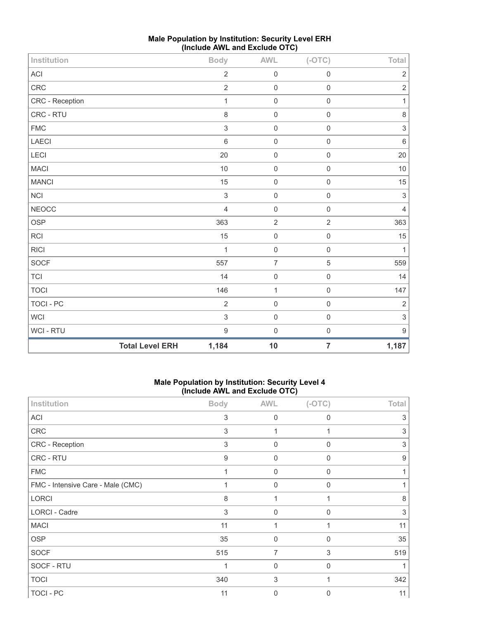| Institution      |                        | <b>Body</b>               | <b>AWL</b>          | $(-OTC)$            | Total                     |
|------------------|------------------------|---------------------------|---------------------|---------------------|---------------------------|
| <b>ACI</b>       |                        | $\overline{2}$            | $\mathbf 0$         | $\mathbf 0$         | $\overline{2}$            |
| CRC              |                        | $\mathbf 2$               | $\mathbf 0$         | $\mathbf 0$         | $\sqrt{2}$                |
| CRC - Reception  |                        | $\mathbf{1}$              | $\mathbf 0$         | $\mathbf 0$         | $\mathbf{1}$              |
| CRC - RTU        |                        | 8                         | $\mathbf 0$         | $\mathbf 0$         | 8                         |
| <b>FMC</b>       |                        | $\ensuremath{\mathsf{3}}$ | $\mathbf 0$         | $\mathbf 0$         | $\sqrt{3}$                |
| LAECI            |                        | $6\phantom{1}$            | $\mathbf 0$         | $\mathsf{O}\xspace$ | $\,6\,$                   |
| LECI             |                        | 20                        | $\mathbf 0$         | $\mathbf 0$         | 20                        |
| <b>MACI</b>      |                        | 10                        | $\mathbf 0$         | $\mathbf 0$         | 10                        |
| <b>MANCI</b>     |                        | 15                        | $\mathbf 0$         | $\mathsf{O}\xspace$ | 15                        |
| $\sf NCI$        |                        | $\ensuremath{\mathsf{3}}$ | $\mathsf{O}\xspace$ | $\mathbf 0$         | $\sqrt{3}$                |
| <b>NEOCC</b>     |                        | $\overline{4}$            | $\mathbf 0$         | $\mathbf 0$         | $\overline{4}$            |
| OSP              |                        | 363                       | $\sqrt{2}$          | $\overline{2}$      | 363                       |
| RCI              |                        | 15                        | $\mathbf 0$         | $\mathbf 0$         | 15                        |
| <b>RICI</b>      |                        | $\mathbf{1}$              | $\mathsf{O}\xspace$ | $\mathbf 0$         | $\mathbf{1}$              |
| SOCF             |                        | 557                       | $\overline{7}$      | $\sqrt{5}$          | 559                       |
| <b>TCI</b>       |                        | 14                        | $\mathbf 0$         | $\mathbf 0$         | 14                        |
| <b>TOCI</b>      |                        | 146                       | $\mathbf{1}$        | $\mathbf 0$         | 147                       |
| <b>TOCI - PC</b> |                        | $\overline{2}$            | $\mathbf 0$         | $\mathbf 0$         | $\overline{2}$            |
| WCI              |                        | $\sqrt{3}$                | $\mathbf 0$         | $\mathbf 0$         | $\ensuremath{\mathsf{3}}$ |
| WCI - RTU        |                        | $\overline{9}$            | $\mathbf 0$         | $\mathbf 0$         | $\boldsymbol{9}$          |
|                  | <b>Total Level ERH</b> | 1,184                     | 10                  | $\overline{7}$      | 1,187                     |

# **Male Population by Institution: Security Level ERH (Include AWL and Exclude OTC)**

### **Male Population by Institution: Security Level 4 (Include AWL and Exclude OTC)**

| Institution                       | <b>Body</b>               | <b>AWL</b>     | $(-OTC)$    | <b>Total</b> |
|-----------------------------------|---------------------------|----------------|-------------|--------------|
| <b>ACI</b>                        | $\ensuremath{\mathsf{3}}$ | $\mathbf 0$    | $\mathbf 0$ | 3            |
| CRC                               | 3                         | 1              |             | 3            |
| CRC - Reception                   | 3                         | $\mathbf 0$    | $\mathbf 0$ | 3            |
| CRC - RTU                         | 9                         | 0              | $\Omega$    | 9            |
| <b>FMC</b>                        | 1                         | 0              | $\mathbf 0$ |              |
| FMC - Intensive Care - Male (CMC) |                           | $\Omega$       | $\Omega$    |              |
| LORCI                             | 8                         | 1              |             | 8            |
| LORCI - Cadre                     | 3                         | $\Omega$       | $\Omega$    | 3            |
| <b>MACI</b>                       | 11                        | 1              |             | 11           |
| <b>OSP</b>                        | 35                        | $\mathbf 0$    | $\mathbf 0$ | 35           |
| <b>SOCF</b>                       | 515                       | $\overline{7}$ | 3           | 519          |
| SOCF - RTU                        | 1                         | $\mathbf 0$    | $\Omega$    |              |
| <b>TOCI</b>                       | 340                       | 3              |             | 342          |
| TOCI - PC                         | 11                        | $\mathbf 0$    | $\Omega$    | 11           |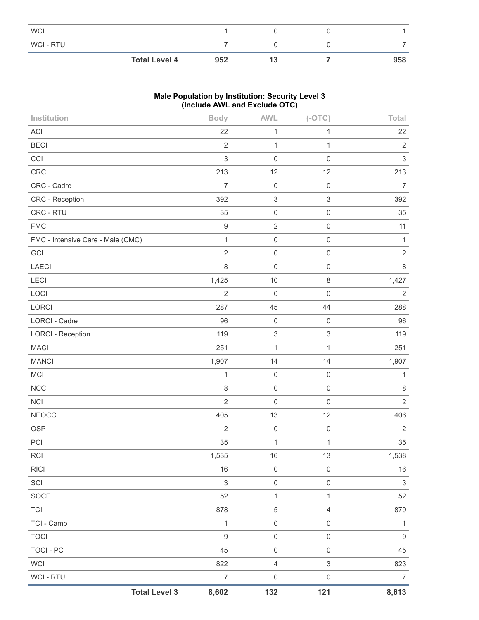| <b>WCI</b>           |     |    |     |
|----------------------|-----|----|-----|
| WCI - RTU            |     |    |     |
| <b>Total Level 4</b> | 952 | IJ | 958 |

## **Male Population by Institution: Security Level 3 (Include AWL and Exclude OTC)**

| Institution                       | <b>Body</b>      | AWL                       | $(-OTC)$                  | Total                     |
|-----------------------------------|------------------|---------------------------|---------------------------|---------------------------|
| ACI                               | 22               | $\mathbf{1}$              | $\mathbf{1}$              | 22                        |
| <b>BECI</b>                       | $\overline{2}$   | $\mathbf{1}$              | $\mathbf{1}$              | $\sqrt{2}$                |
| CCI                               | $\mathfrak{S}$   | $\mathbf 0$               | $\mathbf 0$               | $\mathsf 3$               |
| CRC                               | 213              | 12                        | 12                        | 213                       |
| CRC - Cadre                       | $\overline{7}$   | $\mathbf 0$               | $\,0\,$                   | $\overline{7}$            |
| CRC - Reception                   | 392              | $\,$ 3 $\,$               | $\ensuremath{\mathsf{3}}$ | 392                       |
| CRC - RTU                         | 35               | $\mathsf 0$               | $\mathsf 0$               | 35                        |
| <b>FMC</b>                        | $\boldsymbol{9}$ | $\mathbf{2}$              | $\mathsf{O}\xspace$       | 11                        |
| FMC - Intensive Care - Male (CMC) | $\mathbf{1}$     | $\mathbf 0$               | $\mathsf{O}\xspace$       | $\mathbf{1}$              |
| GCI                               | $\overline{2}$   | $\mathsf 0$               | $\mathbf 0$               | $\sqrt{2}$                |
| LAECI                             | $\,8\,$          | $\mathbf 0$               | $\mathsf 0$               | $\,8\,$                   |
| LECI                              | 1,425            | $10$                      | $\,8\,$                   | 1,427                     |
| LOCI                              | $\overline{2}$   | $\mathbf 0$               | $\mathbf 0$               | $\overline{2}$            |
| LORCI                             | 287              | 45                        | 44                        | 288                       |
| <b>LORCI - Cadre</b>              | 96               | $\mathbf 0$               | $\mathsf{O}\xspace$       | 96                        |
| <b>LORCI - Reception</b>          | 119              | $\ensuremath{\mathsf{3}}$ | $\ensuremath{\mathsf{3}}$ | 119                       |
| <b>MACI</b>                       | 251              | $\mathbf{1}$              | $\mathbf{1}$              | 251                       |
| <b>MANCI</b>                      | 1,907            | 14                        | 14                        | 1,907                     |
| <b>MCI</b>                        | $\mathbf{1}$     | $\mathsf{O}\xspace$       | $\mathsf{O}\xspace$       | $\mathbf{1}$              |
| NCCI                              | $\,8\,$          | $\mathbf 0$               | $\mathsf{O}\xspace$       | $\,8\,$                   |
| NCI                               | $\overline{2}$   | $\mathbf 0$               | $\mathbf 0$               | $\overline{2}$            |
| <b>NEOCC</b>                      | 405              | 13                        | 12                        | 406                       |
| <b>OSP</b>                        | $\overline{2}$   | $\mathsf{O}\xspace$       | $\,0\,$                   | $\overline{2}$            |
| PCI                               | 35               | $\mathbf 1$               | 1                         | 35                        |
| <b>RCI</b>                        | 1,535            | 16                        | 13                        | 1,538                     |
| <b>RICI</b>                       | 16               | $\mathbf 0$               | $\mathsf 0$               | $16\,$                    |
| SCI                               | 3                | $\mathsf{O}\xspace$       | $\mathsf{O}\xspace$       | $\ensuremath{\mathsf{3}}$ |
| SOCF                              | 52               | $\mathbf 1$               | 1                         | 52                        |
| <b>TCI</b>                        | 878              | $\sqrt{5}$                | $\overline{4}$            | 879                       |
| TCI - Camp                        | $\mathbf{1}$     | $\mathsf{O}\xspace$       | $\mathbf 0$               | $\mathbf{1}$              |
| <b>TOCI</b>                       | $\overline{9}$   | $\mathsf{O}\xspace$       | $\mathsf{O}\xspace$       | $\boldsymbol{9}$          |
| <b>TOCI - PC</b>                  | 45               | $\mathsf{O}\xspace$       | $\mathsf{O}\xspace$       | 45                        |
| <b>WCI</b>                        | 822              | $\sqrt{4}$                | $\mathfrak{S}$            | 823                       |
| WCI - RTU                         | $\overline{7}$   | $\mathsf 0$               | $\mathsf{O}\xspace$       | $\overline{7}$            |
| <b>Total Level 3</b>              | 8,602            | 132                       | 121                       | 8,613                     |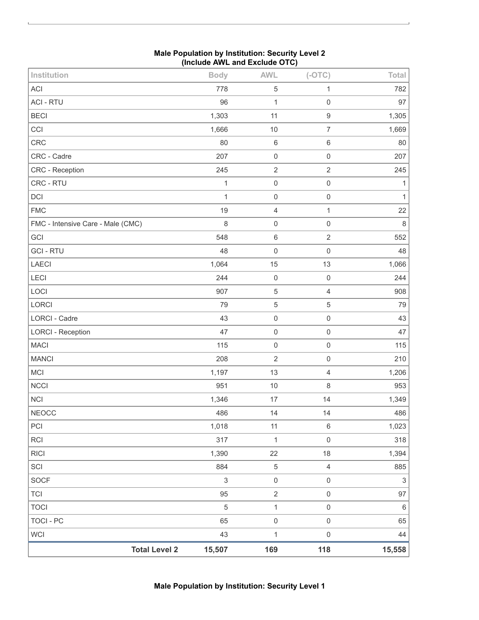| Institution                       | <b>Body</b>    | <b>AWL</b>          | $(-OTC)$                 | Total                     |
|-----------------------------------|----------------|---------------------|--------------------------|---------------------------|
| <b>ACI</b>                        | 778            | $\,$ 5 $\,$         | 1                        | 782                       |
| <b>ACI - RTU</b>                  | 96             | $\mathbf 1$         | 0                        | 97                        |
| <b>BECI</b>                       | 1,303          | 11                  | $\boldsymbol{9}$         | 1,305                     |
| CCI                               | 1,666          | 10                  | $\overline{7}$           | 1,669                     |
| CRC                               | 80             | $\,6\,$             | 6                        | 80                        |
| CRC - Cadre                       | 207            | $\mathsf{O}\xspace$ | $\mathsf{O}\xspace$      | 207                       |
| CRC - Reception                   | 245            | $\sqrt{2}$          | $\overline{c}$           | 245                       |
| CRC - RTU                         | $\mathbf 1$    | $\mathbf 0$         | $\mathsf 0$              | 1                         |
| DCI                               | 1              | $\mathsf 0$         | 0                        | 1                         |
| <b>FMC</b>                        | 19             | $\sqrt{4}$          | $\mathbf{1}$             | 22                        |
| FMC - Intensive Care - Male (CMC) | 8              | $\mathbf 0$         | $\mathbf 0$              | 8                         |
| GCI                               | 548            | $\,6\,$             | $\mathbf{2}$             | 552                       |
| <b>GCI - RTU</b>                  | 48             | $\mathbf 0$         | $\mathsf{O}\xspace$      | 48                        |
| LAECI                             | 1,064          | 15                  | 13                       | 1,066                     |
| LECI                              | 244            | $\mathbf 0$         | $\mathbf 0$              | 244                       |
| LOCI                              | 907            | $\,$ 5 $\,$         | $\overline{\mathcal{L}}$ | 908                       |
| LORCI                             | 79             | $\sqrt{5}$          | $\mathbf 5$              | 79                        |
| <b>LORCI - Cadre</b>              | 43             | $\mathsf 0$         | $\mathbf 0$              | 43                        |
| <b>LORCI - Reception</b>          | 47             | $\mathsf 0$         | $\mathsf 0$              | 47                        |
| <b>MACI</b>                       | 115            | $\mathbf 0$         | $\mathsf 0$              | 115                       |
| <b>MANCI</b>                      | 208            | $\overline{2}$      | $\mathsf 0$              | 210                       |
| MCI                               | 1,197          | 13                  | 4                        | 1,206                     |
| <b>NCCI</b>                       | 951            | $10$                | 8                        | 953                       |
| <b>NCI</b>                        | 1,346          | 17                  | 14                       | 1,349                     |
| <b>NEOCC</b>                      | 486            | 14                  | 14                       | 486                       |
| PCI                               | 1,018          | 11                  | $\,6\,$                  | 1,023                     |
| RCI                               | 317            | $\mathbf{1}$        | $\mathsf{O}\xspace$      | 318                       |
| <b>RICI</b>                       | 1,390          | 22                  | 18                       | 1,394                     |
| SCI                               | 884            | $\mathbf 5$         | $\overline{4}$           | 885                       |
| SOCF                              | $\mathfrak{S}$ | $\mathsf{O}\xspace$ | $\mathsf{O}\xspace$      | $\ensuremath{\mathsf{3}}$ |
| <b>TCI</b>                        | 95             | $\sqrt{2}$          | $\mathsf 0$              | 97                        |
| <b>TOCI</b>                       | $\sqrt{5}$     | $\mathbf 1$         | $\mathsf{O}\xspace$      | $\,6$                     |
| <b>TOCI - PC</b>                  | 65             | $\mathsf{O}\xspace$ | $\mathsf{O}\xspace$      | 65                        |
| WCI                               | 43             | $\mathbf 1$         | $\mathsf{O}\xspace$      | 44                        |
| <b>Total Level 2</b>              | 15,507         | 169                 | 118                      | 15,558                    |

## **Male Population by Institution: Security Level 2 (Include AWL and Exclude OTC)**